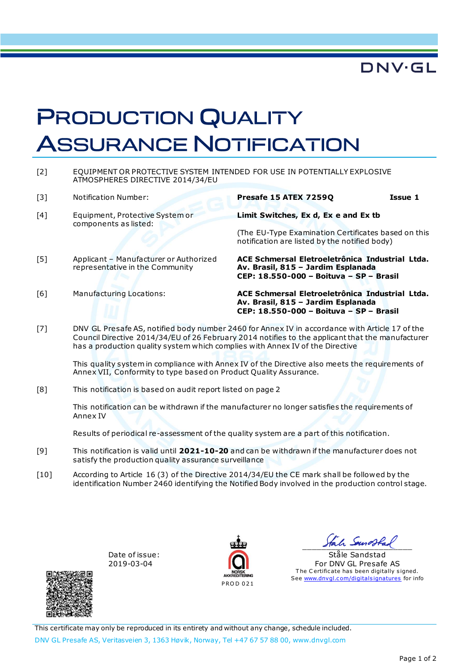

## PRODUCTION QUALITY **ASSURANCE NOTIFICATION**

| $\lceil 2 \rceil$ | EQUIPMENT OR PROTECTIVE SYSTEM INTENDED FOR USE IN POTENTIALLY EXPLOSIVE<br>ATMOSPHERES DIRECTIVE 2014/34/EU                                                                                       |                                                                                                                                              |         |  |
|-------------------|----------------------------------------------------------------------------------------------------------------------------------------------------------------------------------------------------|----------------------------------------------------------------------------------------------------------------------------------------------|---------|--|
| $\lceil 3 \rceil$ | Notification Number:                                                                                                                                                                               | Presafe 15 ATEX 7259Q                                                                                                                        | Issue 1 |  |
| [4]               | Equipment, Protective System or<br>components as listed:                                                                                                                                           | Limit Switches, Ex d, Ex e and Ex tb<br>(The EU-Type Examination Certificates based on this<br>notification are listed by the notified body) |         |  |
| $[5]$             | Applicant - Manufacturer or Authorized<br>representative in the Community                                                                                                                          | ACE Schmersal Eletroeletrônica Industrial Ltda.<br>Av. Brasil, 815 - Jardim Esplanada<br>CEP: 18.550-000 - Boituva - SP - Brasil             |         |  |
| [6]               | Manufacturing Locations:                                                                                                                                                                           | ACE Schmersal Eletroeletrônica Industrial Ltda.<br>Av. Brasil, 815 - Jardim Esplanada<br>CEP: 18.550-000 - Boituva - SP - Brasil             |         |  |
| $[7]$             | DNV GL Presafe AS, notified body number 2460 for Annex IV in accordance with Article 17 of the<br>Council Directive 2014/34/EU of 26 February 2014 notifies to the applicant that the manufacturer |                                                                                                                                              |         |  |

Council Directive 2014/34/EU of 26 February 2014 notifies to the applicant that the manufacturer has a production quality system which complies with Annex IV of the Directive

This quality system in compliance with Annex IV of the Directive also meets the requirements of Annex VII, Conformity to type based on Product Quality Assurance.

[8] This notification is based on audit report listed on page 2

This notification can be withdrawn if the manufacturer no longer satisfies the requirements of Annex IV

Results of periodical re-assessment of the quality system are a part of this notification.

- [9] This notification is valid until **2021-10-20** and can be withdrawn if the manufacturer does not satisfy the production quality assurance surveillance
- [10] According to Article 16 (3) of the Directive 2014/34/EU the CE mark shall be followed by the identification Number 2460 identifying the Notified Body involved in the production control stage.

Date of issue: 2019-03-04



 $\frac{1}{2}$ 

Ståle Sandstad For DNV GL Presafe AS The Certificate has been digitally signed. See www.dnvgl.com/digitalsignatures for info



This certificate may only be reproduced in its entirety and without any change, schedule included. DNV GL Presafe AS, Veritasveien 3, 1363 Høvik, Norway, Tel +47 67 57 88 00, www.dnvgl.com